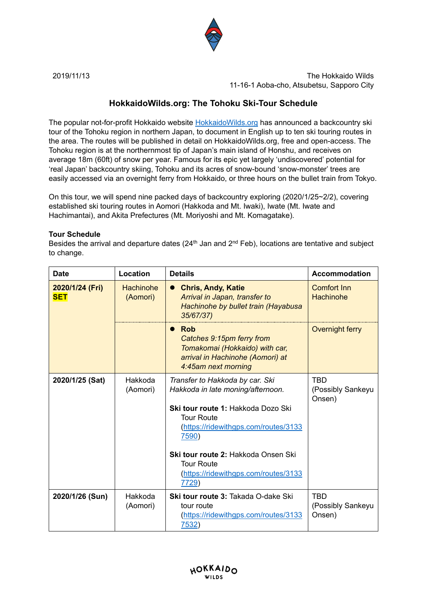

2019/11/13 The Hokkaido Wilds 11-16-1 Aoba-cho, Atsubetsu, Sapporo City

## **HokkaidoWilds.org: The Tohoku Ski-Tour Schedule**

The popular not-for-profit Hokkaido website [HokkaidoWilds.org](https://hokkaidowilds.org/) has announced a backcountry ski tour of the Tohoku region in northern Japan, to document in English up to ten ski touring routes in the area. The routes will be published in detail on HokkaidoWilds.org, free and open-access. The Tohoku region is at the northernmost tip of Japan's main island of Honshu, and receives on average 18m (60ft) of snow per year. Famous for its epic yet largely 'undiscovered' potential for 'real Japan' backcountry skiing, Tohoku and its acres of snow-bound 'snow-monster' trees are easily accessed via an overnight ferry from Hokkaido, or three hours on the bullet train from Tokyo.

On this tour, we will spend nine packed days of backcountry exploring (2020/1/25~2/2), covering established ski touring routes in Aomori (Hakkoda and Mt. Iwaki), Iwate (Mt. Iwate and Hachimantai), and Akita Prefectures (Mt. Moriyoshi and Mt. Komagatake).

## **Tour Schedule**

Besides the arrival and departure dates ( $24<sup>th</sup>$  Jan and  $2<sup>nd</sup>$  Feb), locations are tentative and subject to change.

| <b>Date</b>                   | Location                     | <b>Details</b>                                                                                                                                                                                                                                                                                              | <b>Accommodation</b>                      |
|-------------------------------|------------------------------|-------------------------------------------------------------------------------------------------------------------------------------------------------------------------------------------------------------------------------------------------------------------------------------------------------------|-------------------------------------------|
| 2020/1/24 (Fri)<br><b>SET</b> | <b>Hachinohe</b><br>(Aomori) | <b>Chris, Andy, Katie</b><br>Arrival in Japan, transfer to<br>Hachinohe by bullet train (Hayabusa<br>35/67/37)                                                                                                                                                                                              | <b>Comfort Inn</b><br>Hachinohe           |
|                               |                              | <b>Rob</b><br>Catches 9:15pm ferry from<br>Tomakomai (Hokkaido) with car,<br>arrival in Hachinohe (Aomori) at<br>4:45am next morning                                                                                                                                                                        | Overnight ferry                           |
| 2020/1/25 (Sat)               | Hakkoda<br>(Aomori)          | Transfer to Hakkoda by car. Ski<br>Hakkoda in late moning/afternoon.<br><b>Ski tour route 1: Hakkoda Dozo Ski</b><br><b>Tour Route</b><br>(https://ridewithgps.com/routes/3133<br>7590)<br><b>Ski tour route 2: Hakkoda Onsen Ski</b><br><b>Tour Route</b><br>(https://ridewithgps.com/routes/3133<br>7729) | <b>TBD</b><br>(Possibly Sankeyu<br>Onsen) |
| 2020/1/26 (Sun)               | Hakkoda<br>(Aomori)          | <b>Ski tour route 3: Takada O-dake Ski</b><br>tour route<br>(https://ridewithgps.com/routes/3133<br>7532)                                                                                                                                                                                                   | <b>TBD</b><br>(Possibly Sankeyu<br>Onsen) |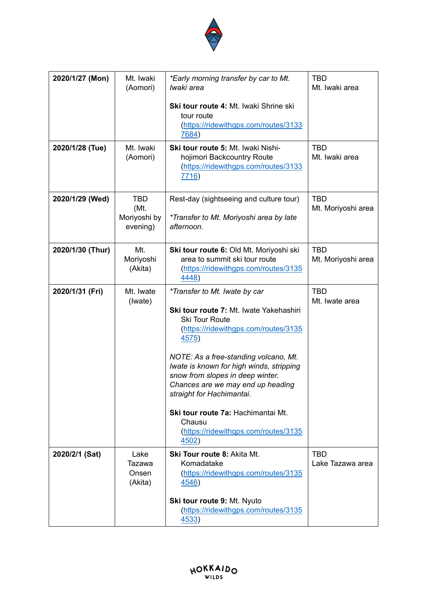

| 2020/1/27 (Mon)  | Mt. Iwaki<br>(Aomori)                          | *Early morning transfer by car to Mt.<br>Iwaki area                                                                                                                                                                                                                                                                                                                                                                                                           | <b>TBD</b><br>Mt. Iwaki area     |
|------------------|------------------------------------------------|---------------------------------------------------------------------------------------------------------------------------------------------------------------------------------------------------------------------------------------------------------------------------------------------------------------------------------------------------------------------------------------------------------------------------------------------------------------|----------------------------------|
|                  |                                                | Ski tour route 4: Mt. Iwaki Shrine ski<br>tour route<br>(https://ridewithgps.com/routes/3133<br>7684)                                                                                                                                                                                                                                                                                                                                                         |                                  |
| 2020/1/28 (Tue)  | Mt. Iwaki<br>(Aomori)                          | <b>Ski tour route 5: Mt. Iwaki Nishi-</b><br>hojimori Backcountry Route<br>(https://ridewithgps.com/routes/3133<br>7716)                                                                                                                                                                                                                                                                                                                                      | <b>TBD</b><br>Mt. Iwaki area     |
| 2020/1/29 (Wed)  | <b>TBD</b><br>(Mt.<br>Moriyoshi by<br>evening) | Rest-day (sightseeing and culture tour)<br>*Transfer to Mt. Moriyoshi area by late<br>afternoon.                                                                                                                                                                                                                                                                                                                                                              | <b>TBD</b><br>Mt. Moriyoshi area |
| 2020/1/30 (Thur) | Mt.<br>Moriyoshi<br>(Akita)                    | Ski tour route 6: Old Mt. Moriyoshi ski<br>area to summit ski tour route<br>(https://ridewithgps.com/routes/3135<br>4448)                                                                                                                                                                                                                                                                                                                                     | <b>TBD</b><br>Mt. Moriyoshi area |
| 2020/1/31 (Fri)  | Mt. Iwate<br>(Iwate)                           | <i>*Transfer to Mt. Iwate by car</i><br>Ski tour route 7: Mt. Iwate Yakehashiri<br><b>Ski Tour Route</b><br>(https://ridewithgps.com/routes/3135<br><u>4575</u> )<br>NOTE: As a free-standing volcano, Mt.<br>Iwate is known for high winds, stripping<br>snow from slopes in deep winter.<br>Chances are we may end up heading<br>straight for Hachimantai.<br>Ski tour route 7a: Hachimantai Mt.<br>Chausu<br>(https://ridewithgps.com/routes/3135<br>4502) | <b>TBD</b><br>Mt. Iwate area     |
| 2020/2/1 (Sat)   | Lake<br>Tazawa<br>Onsen<br>(Akita)             | Ski Tour route 8: Akita Mt.<br>Komadatake<br>(https://ridewithgps.com/routes/3135<br><u>4546</u> )<br>Ski tour route 9: Mt. Nyuto<br>(https://ridewithgps.com/routes/3135<br><u>4533</u> )                                                                                                                                                                                                                                                                    | <b>TBD</b><br>Lake Tazawa area   |